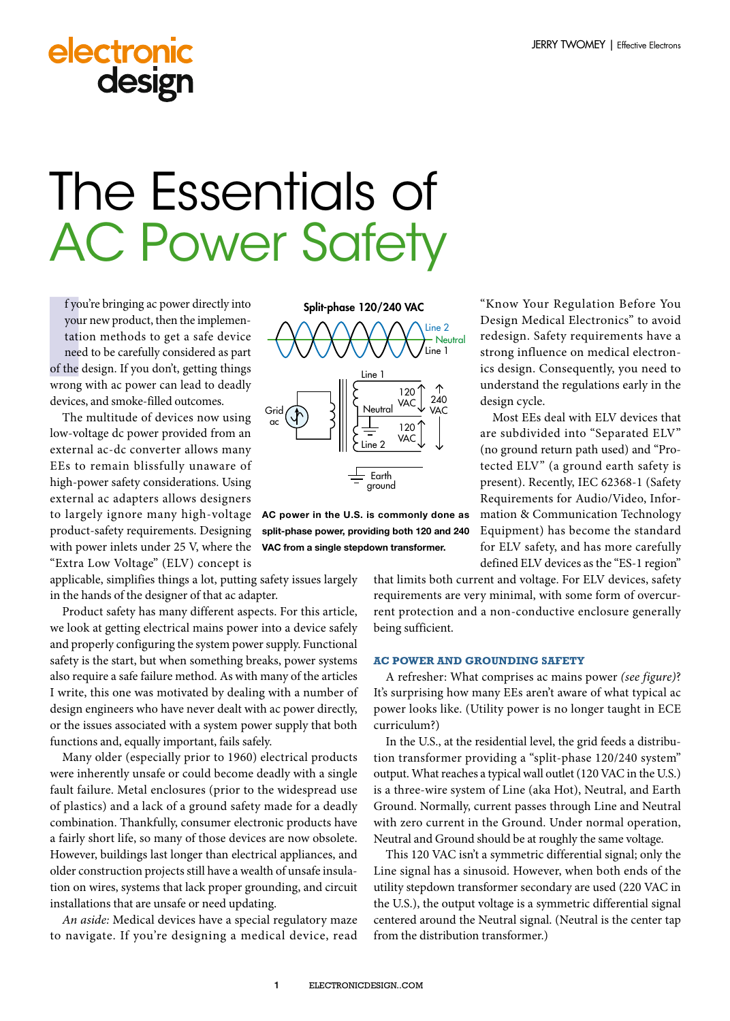# electronic design

# The Essentials of **AC Power Safety**

**I** you<br> **I** tatic<br>
need<br>
of the c<br>
wrong f you're bringing ac power directly into your new product, then the implementation methods to get a safe device need to be carefully considered as part of the design. If you don't, getting things wrong with ac power can lead to deadly devices, and smoke-filled outcomes.

The multitude of devices now using low-voltage dc power provided from an external ac-dc converter allows many EEs to remain blissfully unaware of high-power safety considerations. Using external ac adapters allows designers to largely ignore many high-voltage product-safety requirements. Designing with power inlets under 25 V, where the "Extra Low Voltage" (ELV) concept is

applicable, simplifies things a lot, putting safety issues largely in the hands of the designer of that ac adapter.

Product safety has many different aspects. For this article, we look at getting electrical mains power into a device safely and properly configuring the system power supply. Functional safety is the start, but when something breaks, power systems also require a safe failure method. As with many of the articles I write, this one was motivated by dealing with a number of design engineers who have never dealt with ac power directly, or the issues associated with a system power supply that both functions and, equally important, fails safely.

Many older (especially prior to 1960) electrical products were inherently unsafe or could become deadly with a single fault failure. Metal enclosures (prior to the widespread use of plastics) and a lack of a ground safety made for a deadly combination. Thankfully, consumer electronic products have a fairly short life, so many of those devices are now obsolete. However, buildings last longer than electrical appliances, and older construction projects still have a wealth of unsafe insulation on wires, systems that lack proper grounding, and circuit installations that are unsafe or need updating.

*An aside:* Medical devices have a special regulatory maze to navigate. If you're designing a medical device, read



AC power in the U.S. is commonly done as split-phase power, providing both 120 and 240 VAC from a single stepdown transformer.

"Know Your Regulation Before You Design Medical Electronics" to avoid redesign. Safety requirements have a strong influence on medical electronics design. Consequently, you need to understand the regulations early in the design cycle.

Most EEs deal with ELV devices that are subdivided into "Separated ELV" (no ground return path used) and "Protected ELV" (a ground earth safety is present). Recently, IEC 62368-1 (Safety Requirements for Audio/Video, Information & Communication Technology Equipment) has become the standard for ELV safety, and has more carefully defined ELV devices as the "ES-1 region"

that limits both current and voltage. For ELV devices, safety requirements are very minimal, with some form of overcurrent protection and a non-conductive enclosure generally being sufficient.

## **AC POWER AND GROUNDING SAFETY**

A refresher: What comprises ac mains power *(see figure)*? It's surprising how many EEs aren't aware of what typical ac power looks like. (Utility power is no longer taught in ECE curriculum?)

In the U.S., at the residential level, the grid feeds a distribution transformer providing a "split-phase 120/240 system" output. What reaches a typical wall outlet (120 VAC in the U.S.) is a three-wire system of Line (aka Hot), Neutral, and Earth Ground. Normally, current passes through Line and Neutral with zero current in the Ground. Under normal operation, Neutral and Ground should be at roughly the same voltage.

This 120 VAC isn't a symmetric differential signal; only the Line signal has a sinusoid. However, when both ends of the utility stepdown transformer secondary are used (220 VAC in the U.S.), the output voltage is a symmetric differential signal centered around the Neutral signal. (Neutral is the center tap from the distribution transformer.)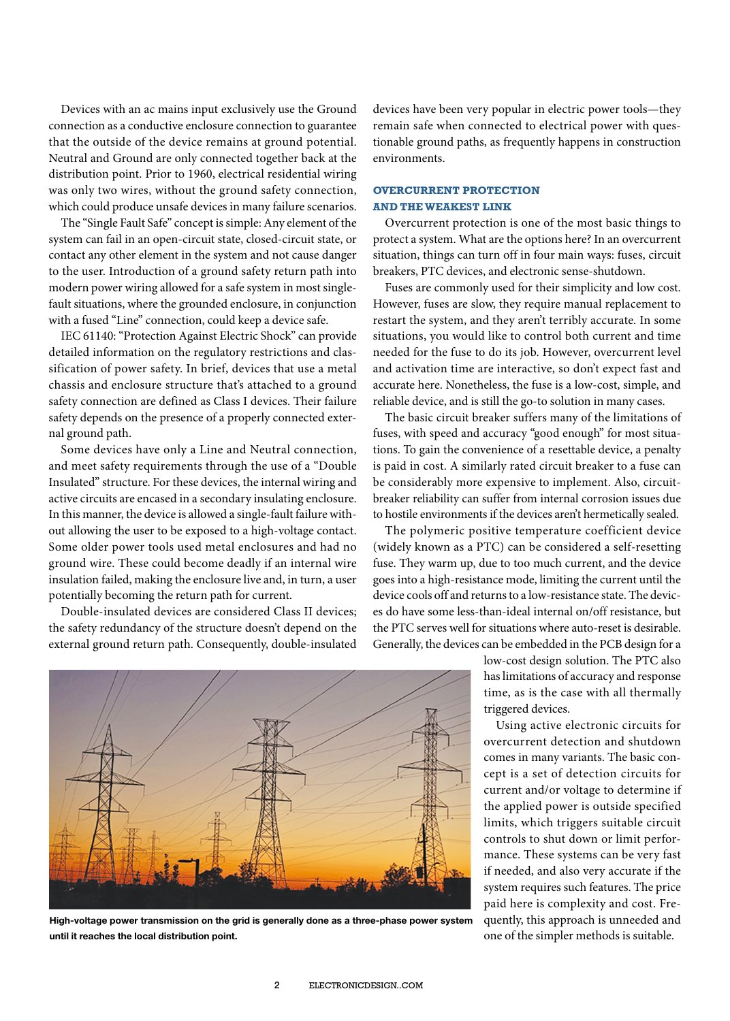Devices with an ac mains input exclusively use the Ground connection as a conductive enclosure connection to guarantee that the outside of the device remains at ground potential. Neutral and Ground are only connected together back at the distribution point. Prior to 1960, electrical residential wiring was only two wires, without the ground safety connection, which could produce unsafe devices in many failure scenarios.

The "Single Fault Safe" concept is simple: Any element of the system can fail in an open-circuit state, closed-circuit state, or contact any other element in the system and not cause danger to the user. Introduction of a ground safety return path into modern power wiring allowed for a safe system in most singlefault situations, where the grounded enclosure, in conjunction with a fused "Line" connection, could keep a device safe.

IEC 61140: "Protection Against Electric Shock" can provide detailed information on the regulatory restrictions and classification of power safety. In brief, devices that use a metal chassis and enclosure structure that's attached to a ground safety connection are defined as Class I devices. Their failure safety depends on the presence of a properly connected external ground path.

Some devices have only a Line and Neutral connection, and meet safety requirements through the use of a "Double Insulated" structure. For these devices, the internal wiring and active circuits are encased in a secondary insulating enclosure. In this manner, the device is allowed a single-fault failure without allowing the user to be exposed to a high-voltage contact. Some older power tools used metal enclosures and had no ground wire. These could become deadly if an internal wire insulation failed, making the enclosure live and, in turn, a user potentially becoming the return path for current.

Double-insulated devices are considered Class II devices; the safety redundancy of the structure doesn't depend on the external ground return path. Consequently, double-insulated devices have been very popular in electric power tools—they remain safe when connected to electrical power with questionable ground paths, as frequently happens in construction environments.

# **OVERCURRENT PROTECTION AND THE WEAKEST LINK**

Overcurrent protection is one of the most basic things to protect a system. What are the options here? In an overcurrent situation, things can turn off in four main ways: fuses, circuit breakers, PTC devices, and electronic sense-shutdown.

Fuses are commonly used for their simplicity and low cost. However, fuses are slow, they require manual replacement to restart the system, and they aren't terribly accurate. In some situations, you would like to control both current and time needed for the fuse to do its job. However, overcurrent level and activation time are interactive, so don't expect fast and accurate here. Nonetheless, the fuse is a low-cost, simple, and reliable device, and is still the go-to solution in many cases.

The basic circuit breaker suffers many of the limitations of fuses, with speed and accuracy "good enough" for most situations. To gain the convenience of a resettable device, a penalty is paid in cost. A similarly rated circuit breaker to a fuse can be considerably more expensive to implement. Also, circuitbreaker reliability can suffer from internal corrosion issues due to hostile environments if the devices aren't hermetically sealed.

The polymeric positive temperature coefficient device (widely known as a PTC) can be considered a self-resetting fuse. They warm up, due to too much current, and the device goes into a high-resistance mode, limiting the current until the device cools off and returns to a low-resistance state. The devices do have some less-than-ideal internal on/off resistance, but the PTC serves well for situations where auto-reset is desirable. Generally, the devices can be embedded in the PCB design for a

> low-cost design solution. The PTC also has limitations of accuracy and response time, as is the case with all thermally triggered devices.

> Using active electronic circuits for overcurrent detection and shutdown comes in many variants. The basic concept is a set of detection circuits for current and/or voltage to determine if the applied power is outside specified limits, which triggers suitable circuit controls to shut down or limit performance. These systems can be very fast if needed, and also very accurate if the system requires such features. The price paid here is complexity and cost. Frequently, this approach is unneeded and one of the simpler methods is suitable.



High-voltage power transmission on the grid is generally done as a three-phase power system until it reaches the local distribution point.